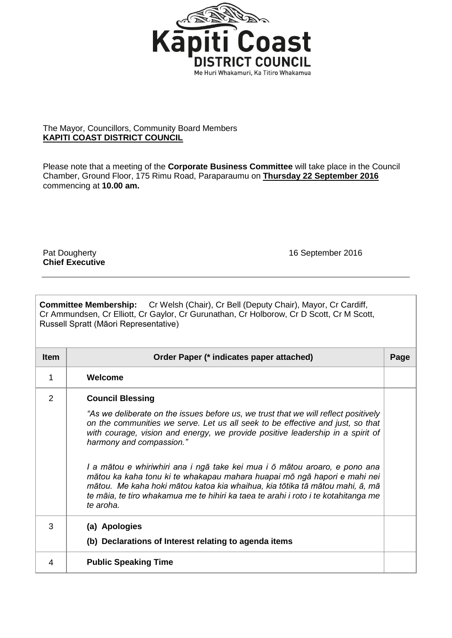

## The Mayor, Councillors, Community Board Members **KAPITI COAST DISTRICT COUNCIL**

Please note that a meeting of the **Corporate Business Committee** will take place in the Council Chamber, Ground Floor, 175 Rimu Road, Paraparaumu on **Thursday 22 September 2016**  commencing at **10.00 am.**

**Chief Executive**

Pat Dougherty **16 September 2016** 

|                                       | <b>Committee Membership:</b> Cr Welsh (Chair), Cr Bell (Deputy Chair), Mayor, Cr Cardiff, |
|---------------------------------------|-------------------------------------------------------------------------------------------|
|                                       | Cr Ammundsen, Cr Elliott, Cr Gaylor, Cr Gurunathan, Cr Holborow, Cr D Scott, Cr M Scott,  |
| Russell Spratt (Māori Representative) |                                                                                           |

| <b>Item</b>    | Order Paper (* indicates paper attached)                                                                                                                                                                                                                                                                                                                                                                                                                                                                                                                                                                                                                    |  |  |
|----------------|-------------------------------------------------------------------------------------------------------------------------------------------------------------------------------------------------------------------------------------------------------------------------------------------------------------------------------------------------------------------------------------------------------------------------------------------------------------------------------------------------------------------------------------------------------------------------------------------------------------------------------------------------------------|--|--|
| 1              | Welcome                                                                                                                                                                                                                                                                                                                                                                                                                                                                                                                                                                                                                                                     |  |  |
| $\overline{2}$ | <b>Council Blessing</b><br>"As we deliberate on the issues before us, we trust that we will reflect positively<br>on the communities we serve. Let us all seek to be effective and just, so that<br>with courage, vision and energy, we provide positive leadership in a spirit of<br>harmony and compassion."<br>I a mātou e whiriwhiri ana i ngā take kei mua i ō mātou aroaro, e pono ana<br>mātou ka kaha tonu ki te whakapau mahara huapai mō ngā hapori e mahi nei<br>mātou. Me kaha hoki mātou katoa kia whaihua, kia tōtika tā mātou mahi, ā, mā<br>te māia, te tiro whakamua me te hihiri ka taea te arahi i roto i te kotahitanga me<br>te aroha. |  |  |
| 3              | (a) Apologies<br>(b) Declarations of Interest relating to agenda items                                                                                                                                                                                                                                                                                                                                                                                                                                                                                                                                                                                      |  |  |
| 4              | <b>Public Speaking Time</b>                                                                                                                                                                                                                                                                                                                                                                                                                                                                                                                                                                                                                                 |  |  |